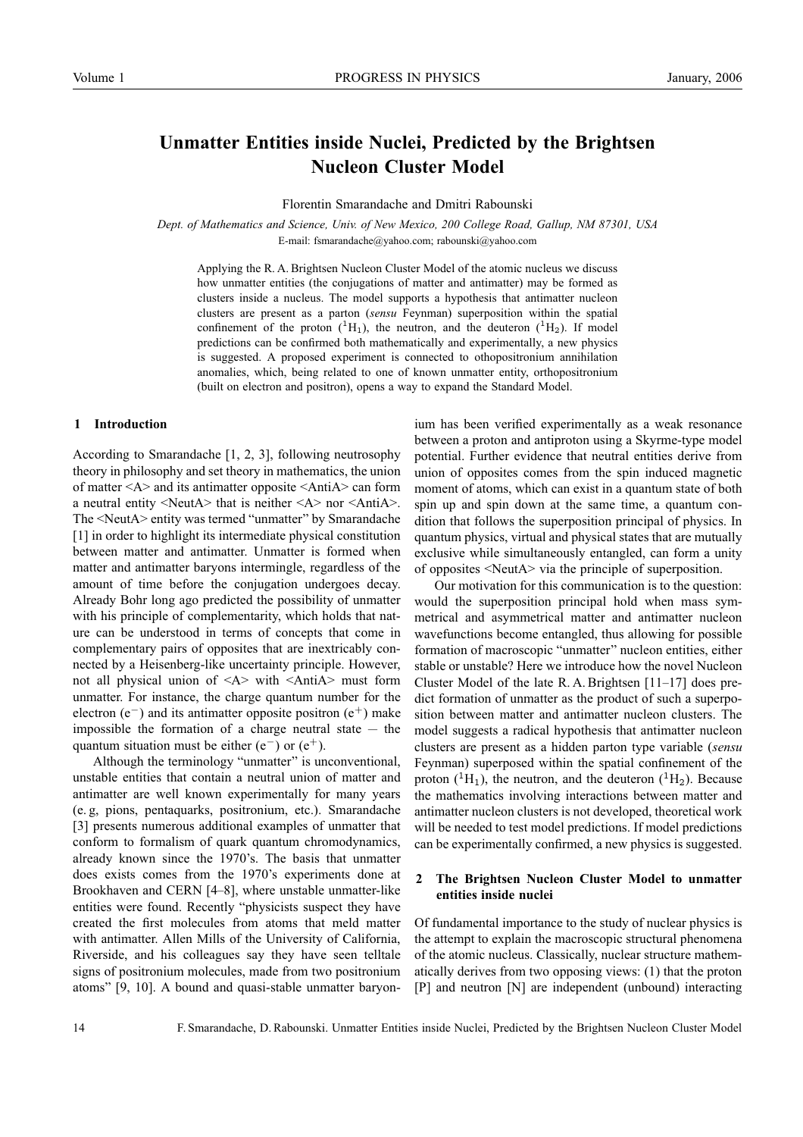# **Unmatter Entities inside Nuclei, Predicted by the Brightsen Nucleon Cluster Model**

Florentin Smarandache and Dmitri Rabounski

*Dept. of Mathematics and Science, Univ. of New Mexico, 200 College Road, Gallup, NM 87301, USA* E-mail: fsmarandache@yahoo.com; rabounski@yahoo.com

Applying the R. A. Brightsen Nucleon Cluster Model of the atomic nucleus we discuss how unmatter entities (the conjugations of matter and antimatter) may be formed as clusters inside a nucleus. The model supports a hypothesis that antimatter nucleon clusters are present as a parton (*sensu* Feynman) superposition within the spatial confinement of the proton  $({}^{1}H_{1})$ , the neutron, and the deuteron  $({}^{1}H_{2})$ . If model predictions can be confirmed both mathematically and experimentally, a new physics is suggested. A proposed experiment is connected to othopositronium annihilation anomalies, which, being related to one of known unmatter entity, orthopositronium (built on electron and positron), opens a way to expand the Standard Model.

#### **1 Introduction**

According to Smarandache [1, 2, 3], following neutrosophy theory in philosophy and set theory in mathematics, the union of matter <A> and its antimatter opposite <AntiA> can form a neutral entity <NeutA> that is neither <A> nor <AntiA>. The <NeutA> entity was termed "unmatter" by Smarandache [1] in order to highlight its intermediate physical constitution between matter and antimatter. Unmatter is formed when matter and antimatter baryons intermingle, regardless of the amount of time before the conjugation undergoes decay. Already Bohr long ago predicted the possibility of unmatter with his principle of complementarity, which holds that nature can be understood in terms of concepts that come in complementary pairs of opposites that are inextricably connected by a Heisenberg-like uncertainty principle. However, not all physical union of <A> with <AntiA> must form unmatter. For instance, the charge quantum number for the electron (e<sup>-</sup>) and its antimatter opposite positron (e<sup>+</sup>) make impossible the formation of a charge neutral state  $-$  the quantum situation must be either  $(e^-)$  or  $(e^+)$ .

Although the terminology "unmatter" is unconventional, unstable entities that contain a neutral union of matter and antimatter are well known experimentally for many years (e. g, pions, pentaquarks, positronium, etc.). Smarandache [3] presents numerous additional examples of unmatter that conform to formalism of quark quantum chromodynamics, already known since the 1970's. The basis that unmatter does exists comes from the 1970's experiments done at Brookhaven and CERN [4–8], where unstable unmatter-like entities were found. Recently "physicists suspect they have created the first molecules from atoms that meld matter with antimatter. Allen Mills of the University of California, Riverside, and his colleagues say they have seen telltale signs of positronium molecules, made from two positronium atoms" [9, 10]. A bound and quasi-stable unmatter baryonium has been verified experimentally as a weak resonance between a proton and antiproton using a Skyrme-type model potential. Further evidence that neutral entities derive from union of opposites comes from the spin induced magnetic moment of atoms, which can exist in a quantum state of both spin up and spin down at the same time, a quantum condition that follows the superposition principal of physics. In quantum physics, virtual and physical states that are mutually exclusive while simultaneously entangled, can form a unity of opposites <NeutA> via the principle of superposition.

Our motivation for this communication is to the question: would the superposition principal hold when mass symmetrical and asymmetrical matter and antimatter nucleon wavefunctions become entangled, thus allowing for possible formation of macroscopic "unmatter" nucleon entities, either stable or unstable? Here we introduce how the novel Nucleon Cluster Model of the late R. A. Brightsen [11–17] does predict formation of unmatter as the product of such a superposition between matter and antimatter nucleon clusters. The model suggests a radical hypothesis that antimatter nucleon clusters are present as a hidden parton type variable (*sensu* Feynman) superposed within the spatial confinement of the proton ( ${}^{1}H_{1}$ ), the neutron, and the deuteron ( ${}^{1}H_{2}$ ). Because the mathematics involving interactions between matter and antimatter nucleon clusters is not developed, theoretical work will be needed to test model predictions. If model predictions can be experimentally confirmed, a new physics is suggested.

# **2 The Brightsen Nucleon Cluster Model to unmatter entities inside nuclei**

Of fundamental importance to the study of nuclear physics is the attempt to explain the macroscopic structural phenomena of the atomic nucleus. Classically, nuclear structure mathematically derives from two opposing views: (1) that the proton [P] and neutron [N] are independent (unbound) interacting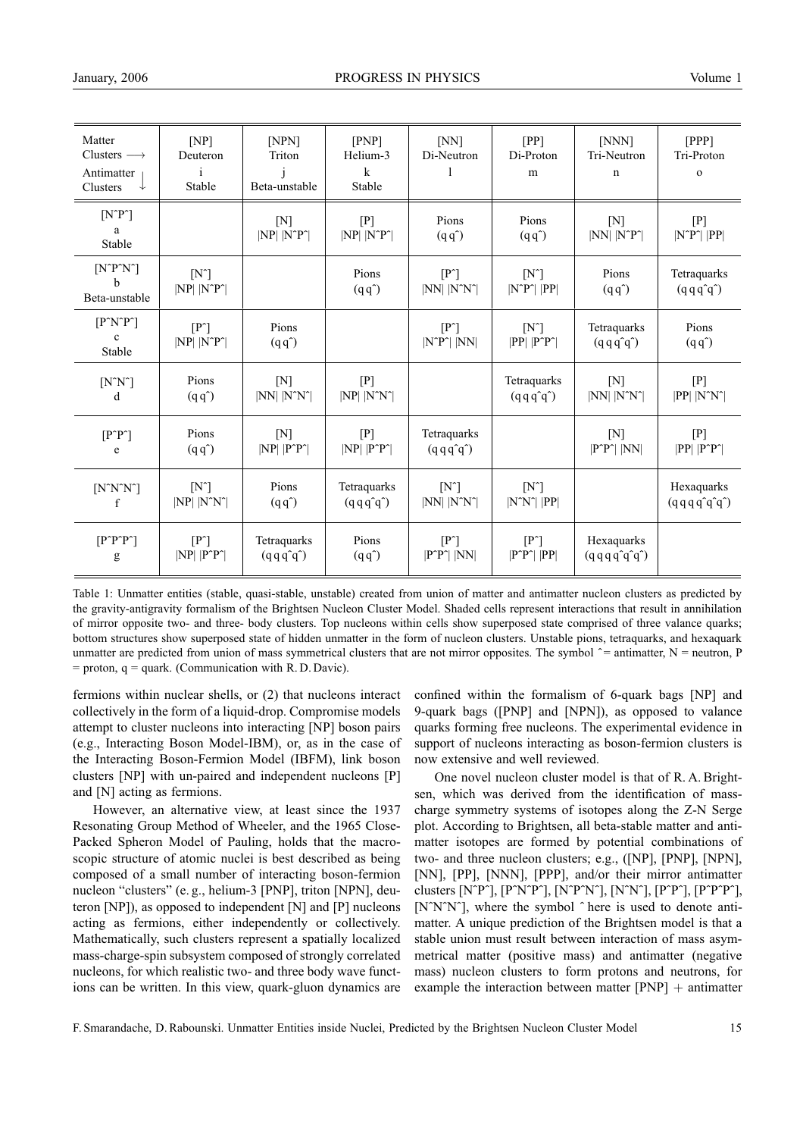| Matter<br>Clusters $\longrightarrow$<br>Antimatter<br>Clusters        | [NP]<br>Deuteron<br>$\mathbf{i}$<br>Stable          | [NPN]<br>Triton<br>Beta-unstable           | [PNP]<br>Helium-3<br>$\bf k$<br>Stable             | [NN]<br>Di-Neutron<br>1                                | [PP]<br>Di-Proton<br>m                                | [NNN]<br>Tri-Neutron<br>$\mathbf n$        | [PPP]<br>Tri-Proton<br>$\mathbf 0$                 |
|-----------------------------------------------------------------------|-----------------------------------------------------|--------------------------------------------|----------------------------------------------------|--------------------------------------------------------|-------------------------------------------------------|--------------------------------------------|----------------------------------------------------|
| $[N^{\uparrow}P^{\uparrow}]$<br>a<br>Stable                           |                                                     | [N]<br>$ NP $ $ N^{\uparrow}P^{\uparrow} $ | $[{\rm P}]$<br>$ NP $ $ N^{\uparrow}P^{\uparrow} $ | Pions<br>$(q q^2)$                                     | Pions<br>(qq)                                         | [N]<br>$ NN $ $ N^{\uparrow}P^{\uparrow} $ | $[{\rm P}]$<br>$ N^{\uparrow}P^{\uparrow} $ $ PP $ |
| $[N^{\uparrow}P^{\uparrow}N^{\uparrow}]$<br>b<br>Beta-unstable        | $[N^{\uparrow}]$<br>$ NP $ $ N^{\hat{}}P^{\hat{}} $ |                                            | Pions<br>(q q)                                     | $[P^{\hat{ }}]$<br>$ NN $ $ N^N $                      | $[N^{\hat{}}]$<br>$ N^{\uparrow}P^{\uparrow} $ $ PP $ | Pions<br>$(qq^2)$                          | Tetraquarks<br>$(qqq\hat{q})$                      |
| $[ P^{\uparrow} N^{\uparrow} P^{\uparrow} ]$<br>$\mathbf c$<br>Stable | $[P^{\hat{ }}]$<br>$ NP $ $ N^{\hat{}}P^{\hat{}} $  | Pions<br>(q q)                             |                                                    | $[P^{\uparrow}]$<br>$ N^{\uparrow}P^{\uparrow} \; NN $ | $[N^{\uparrow}]$<br>$ PP $ $ P^P $                    | Tetraquarks<br>$(qqq\hat{q})$              | Pions<br>$(qq^2)$                                  |
| $[N^N]$                                                               | Pions                                               | [N]                                        | $[{\rm P}]$                                        |                                                        | Tetraquarks                                           | [N]                                        | $[{\rm P}]$                                        |
| d                                                                     | (qq)                                                | $ NN $ $ N^N $                             | $ NP $ $ N^N $                                     |                                                        | $(qqq\hat{q})$                                        | $ NN $ $ N^N$                              | $ PP $ $ N^N $                                     |
| $[P^{\hat{}}P^{\hat{}}]$                                              | Pions                                               | [N]                                        | [P]                                                | Tetraquarks                                            |                                                       | [N]                                        | $[{\rm P}]$                                        |
| $\mathbf e$                                                           | (q q)                                               | $ NP $ $ P^P $                             | $ NP $ $ P^P $                                     | $(qqq\hat{q})$                                         |                                                       | $ P^{\uparrow}P^{\uparrow} $ $ NN $        | $ PP $ $ P^{\uparrow}P^{\uparrow} $                |
| $[N^N N^{\hat{}}]$                                                    | $[N^{\hat{}}]$                                      | Pions                                      | Tetraquarks                                        | $[N^{\hat{}}]$                                         | $[N^{\hat{}}]$                                        |                                            | Hexaquarks                                         |
| f                                                                     | $ NP $ $ N^N $                                      | (qq)                                       | $(qqq\hat{q})$                                     | $ NN $ $ N^N $                                         | $ N^N $ $ PP $                                        |                                            | $(qqqq\hat{q}q\hat{q})$                            |
| $[P^{\uparrow}P^{\uparrow}]$                                          | $[P^{\prime}]$                                      | Tetraquarks                                | Pions                                              | $[P^{\prime}]$                                         | $[P^{\uparrow}]$                                      | Hexaquarks                                 |                                                    |
| g                                                                     | $ NP $ $ P^P $                                      | $(qqq\hat{q})$                             | (qq)                                               | $ P^{\uparrow}P^{\uparrow} $ $ NN $                    | $ P^P $ $ PP $                                        | $(qqqq\hat{q}q\hat{q})$                    |                                                    |

Table 1: Unmatter entities (stable, quasi-stable, unstable) created from union of matter and antimatter nucleon clusters as predicted by the gravity-antigravity formalism of the Brightsen Nucleon Cluster Model. Shaded cells represent interactions that result in annihilation of mirror opposite two- and three- body clusters. Top nucleons within cells show superposed state comprised of three valance quarks; bottom structures show superposed state of hidden unmatter in the form of nucleon clusters. Unstable pions, tetraquarks, and hexaquark unmatter are predicted from union of mass symmetrical clusters that are not mirror opposites. The symbol ^= antimatter, N = neutron, P  $=$  proton,  $q =$  quark. (Communication with R. D. Davic).

fermions within nuclear shells, or (2) that nucleons interact collectively in the form of a liquid-drop. Compromise models attempt to cluster nucleons into interacting [NP] boson pairs (e.g., Interacting Boson Model-IBM), or, as in the case of the Interacting Boson-Fermion Model (IBFM), link boson clusters [NP] with un-paired and independent nucleons [P] and [N] acting as fermions.

However, an alternative view, at least since the 1937 Resonating Group Method of Wheeler, and the 1965 Close-Packed Spheron Model of Pauling, holds that the macroscopic structure of atomic nuclei is best described as being composed of a small number of interacting boson-fermion nucleon "clusters" (e. g., helium-3 [PNP], triton [NPN], deuteron [NP]), as opposed to independent [N] and [P] nucleons acting as fermions, either independently or collectively. Mathematically, such clusters represent a spatially localized mass-charge-spin subsystem composed of strongly correlated nucleons, for which realistic two- and three body wave functions can be written. In this view, quark-gluon dynamics are confined within the formalism of 6-quark bags [NP] and 9-quark bags ([PNP] and [NPN]), as opposed to valance quarks forming free nucleons. The experimental evidence in support of nucleons interacting as boson-fermion clusters is now extensive and well reviewed.

One novel nucleon cluster model is that of R. A. Brightsen, which was derived from the identification of masscharge symmetry systems of isotopes along the Z-N Serge plot. According to Brightsen, all beta-stable matter and antimatter isotopes are formed by potential combinations of two- and three nucleon clusters; e.g., ([NP], [PNP], [NPN], [NN], [PP], [NNN], [PPP], and/or their mirror antimatter clusters [NˆPˆ], [PˆNˆPˆ], [NˆPˆNˆ], [NˆNˆ], [PˆPˆ], [PˆPˆPˆ], [N^N^N^], where the symbol  $\hat{ }$  here is used to denote antimatter. A unique prediction of the Brightsen model is that a stable union must result between interaction of mass asymmetrical matter (positive mass) and antimatter (negative mass) nucleon clusters to form protons and neutrons, for example the interaction between matter  $[PNP]$  + antimatter

F. Smarandache, D. Rabounski. Unmatter Entities inside Nuclei, Predicted by the Brightsen Nucleon Cluster Model 15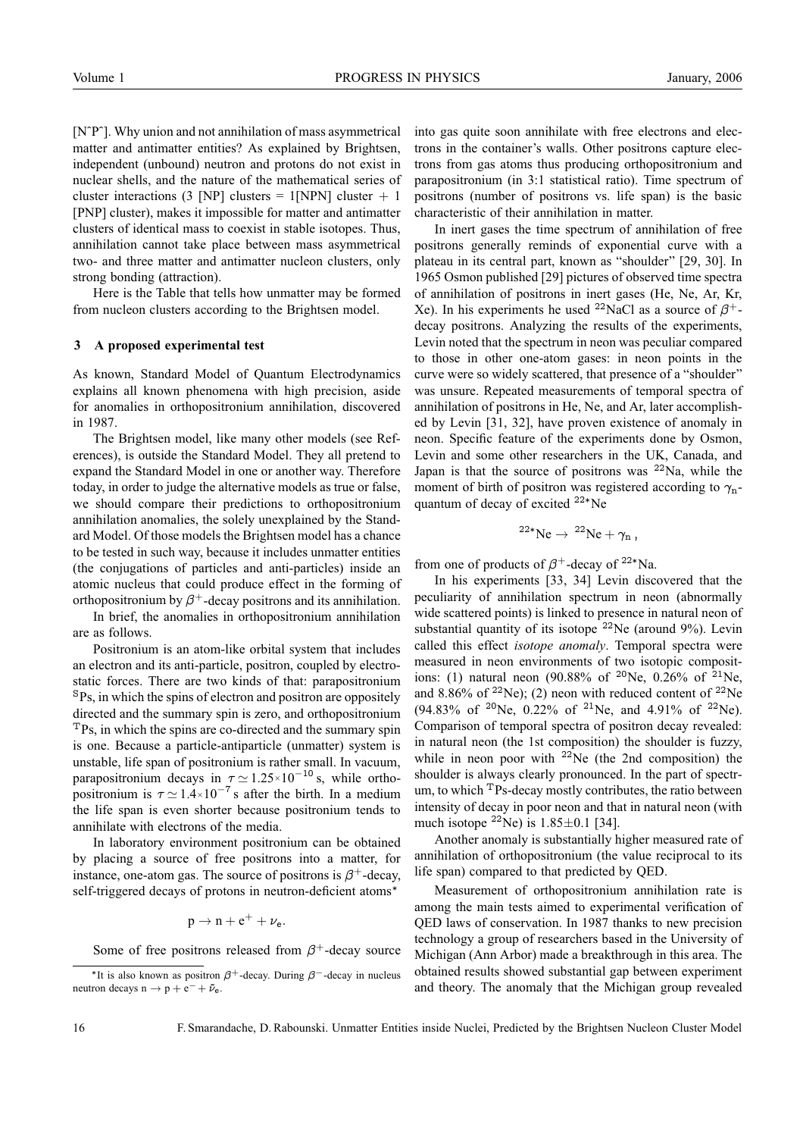[NˆPˆ]. Why union and not annihilation of mass asymmetrical matter and antimatter entities? As explained by Brightsen, independent (unbound) neutron and protons do not exist in nuclear shells, and the nature of the mathematical series of cluster interactions (3 [NP] clusters = 1[NPN] cluster  $+$  1 [PNP] cluster), makes it impossible for matter and antimatter clusters of identical mass to coexist in stable isotopes. Thus, annihilation cannot take place between mass asymmetrical two- and three matter and antimatter nucleon clusters, only strong bonding (attraction).

Here is the Table that tells how unmatter may be formed from nucleon clusters according to the Brightsen model.

# **3 A proposed experimental test**

As known, Standard Model of Quantum Electrodynamics explains all known phenomena with high precision, aside for anomalies in orthopositronium annihilation, discovered in 1987.

The Brightsen model, like many other models (see References), is outside the Standard Model. They all pretend to expand the Standard Model in one or another way. Therefore today, in order to judge the alternative models as true or false, we should compare their predictions to orthopositronium annihilation anomalies, the solely unexplained by the Standard Model. Of those models the Brightsen model has a chance to be tested in such way, because it includes unmatter entities (the conjugations of particles and anti-particles) inside an atomic nucleus that could produce effect in the forming of orthopositronium by  $\beta^+$ -decay positrons and its annihilation.

In brief, the anomalies in orthopositronium annihilation are as follows.

Positronium is an atom-like orbital system that includes an electron and its anti-particle, positron, coupled by electrostatic forces. There are two kinds of that: parapositronium <sup>S</sup>Ps, in which the spins of electron and positron are oppositely directed and the summary spin is zero, and orthopositronium <sup>T</sup>Ps, in which the spins are co-directed and the summary spin is one. Because a particle-antiparticle (unmatter) system is unstable, life span of positronium is rather small. In vacuum, parapositronium decays in  $\tau \approx 1.25 \times 10^{-10}$  s, while orthopositronium is  $\tau \simeq 1.4 \times 10^{-7}$  s after the birth. In a medium the life span is even shorter because positronium tends to annihilate with electrons of the media.

In laboratory environment positronium can be obtained by placing a source of free positrons into a matter, for instance, one-atom gas. The source of positrons is  $\beta^+$ -decay, self-triggered decays of protons in neutron-deficient atoms∗

$$
p \to n + e^+ + \nu_e.
$$

Some of free positrons released from  $\beta^+$ -decay source

into gas quite soon annihilate with free electrons and electrons in the container's walls. Other positrons capture electrons from gas atoms thus producing orthopositronium and parapositronium (in 3:1 statistical ratio). Time spectrum of positrons (number of positrons vs. life span) is the basic characteristic of their annihilation in matter.

In inert gases the time spectrum of annihilation of free positrons generally reminds of exponential curve with a plateau in its central part, known as "shoulder" [29, 30]. In 1965 Osmon published [29] pictures of observed time spectra of annihilation of positrons in inert gases (He, Ne, Ar, Kr, Xe). In his experiments he used <sup>22</sup>NaCl as a source of  $\beta^+$ decay positrons. Analyzing the results of the experiments, Levin noted that the spectrum in neon was peculiar compared to those in other one-atom gases: in neon points in the curve were so widely scattered, that presence of a "shoulder" was unsure. Repeated measurements of temporal spectra of annihilation of positrons in He, Ne, and Ar, later accomplished by Levin [31, 32], have proven existence of anomaly in neon. Specific feature of the experiments done by Osmon, Levin and some other researchers in the UK, Canada, and Japan is that the source of positrons was  $22Na$ , while the moment of birth of positron was registered according to  $\gamma$ <sup>1</sup>quantum of decay of excited <sup>22</sup>∗Ne

$$
^{22*}\text{Ne} \rightarrow {}^{22}\text{Ne} + \gamma_{\text{n}} ,
$$

from one of products of  $\beta^+$ -decay of <sup>22\*</sup>Na.

In his experiments [33, 34] Levin discovered that the peculiarity of annihilation spectrum in neon (abnormally wide scattered points) is linked to presence in natural neon of substantial quantity of its isotope  $22$ Ne (around 9%). Levin called this effect *isotope anomaly*. Temporal spectra were measured in neon environments of two isotopic compositions: (1) natural neon (90.88% of  $^{20}$ Ne, 0.26% of  $^{21}$ Ne, and 8.86% of <sup>22</sup>Ne); (2) neon with reduced content of <sup>22</sup>Ne  $(94.83\% \text{ of }^{20}\text{Ne}, 0.22\% \text{ of }^{21}\text{Ne}, \text{ and } 4.91\% \text{ of }^{22}\text{Ne}).$ Comparison of temporal spectra of positron decay revealed: in natural neon (the 1st composition) the shoulder is fuzzy, while in neon poor with  $22$ Ne (the 2nd composition) the shoulder is always clearly pronounced. In the part of spectrum, to which  $T$ Ps-decay mostly contributes, the ratio between intensity of decay in poor neon and that in natural neon (with much isotope  $^{22}$ Ne) is 1.85 $\pm$ 0.1 [34].

Another anomaly is substantially higher measured rate of annihilation of orthopositronium (the value reciprocal to its life span) compared to that predicted by QED.

Measurement of orthopositronium annihilation rate is among the main tests aimed to experimental verification of QED laws of conservation. In 1987 thanks to new precision technology a group of researchers based in the University of Michigan (Ann Arbor) made a breakthrough in this area. The obtained results showed substantial gap between experiment and theory. The anomaly that the Michigan group revealed

<sup>∗</sup>It is also known as positron β+-decay. During β−-decay in nucleus neutron decays  $n \rightarrow p + e^- + \tilde{\nu}_e$ .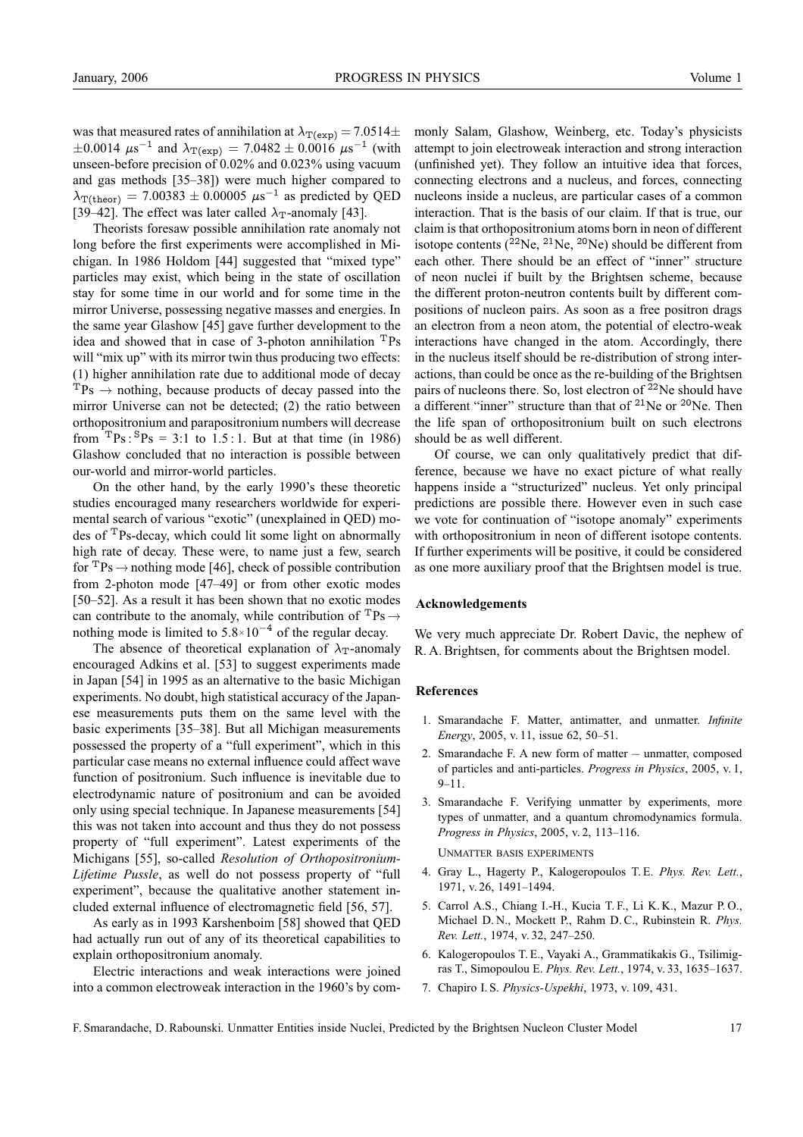was that measured rates of annihilation at  $\lambda_{\text{T(exp)}} = 7.0514 \pm$  $\pm 0.0014~\mu\text{s}^{-1}$  and  $\lambda_{\text{T(exp)}} = 7.0482 \pm 0.0016~\mu\text{s}^{-1}$  (with unseen-before precision of 0.02% and 0.023% using vacuum and gas methods [35–38]) were much higher compared to  $\lambda_{\text{T(theor)}} = 7.00383 \pm 0.00005 \ \mu s^{-1}$  as predicted by QED [39–42]. The effect was later called  $\lambda$ <sub>T</sub>-anomaly [43].

Theorists foresaw possible annihilation rate anomaly not long before the first experiments were accomplished in Michigan. In 1986 Holdom [44] suggested that "mixed type" particles may exist, which being in the state of oscillation stay for some time in our world and for some time in the mirror Universe, possessing negative masses and energies. In the same year Glashow [45] gave further development to the idea and showed that in case of 3-photon annihilation  $T_{\text{Ps}}$ will "mix up" with its mirror twin thus producing two effects: (1) higher annihilation rate due to additional mode of decay  $TPS \rightarrow$  nothing, because products of decay passed into the mirror Universe can not be detected; (2) the ratio between orthopositronium and parapositronium numbers will decrease from  $T_{\text{Ps}}$ :  $S_{\text{Ps}} = 3:1$  to 1.5:1. But at that time (in 1986) Glashow concluded that no interaction is possible between our-world and mirror-world particles.

On the other hand, by the early 1990's these theoretic studies encouraged many researchers worldwide for experimental search of various "exotic" (unexplained in QED) modes of <sup>T</sup>Ps-decay, which could lit some light on abnormally high rate of decay. These were, to name just a few, search for  $TPS \rightarrow$  nothing mode [46], check of possible contribution from 2-photon mode [47–49] or from other exotic modes [50–52]. As a result it has been shown that no exotic modes can contribute to the anomaly, while contribution of  $\text{P}_\text{S} \rightarrow$ nothing mode is limited to  $5.8 \times 10^{-4}$  of the regular decay.

The absence of theoretical explanation of  $\lambda$ <sub>T</sub>-anomaly encouraged Adkins et al. [53] to suggest experiments made in Japan [54] in 1995 as an alternative to the basic Michigan experiments. No doubt, high statistical accuracy of the Japanese measurements puts them on the same level with the basic experiments [35–38]. But all Michigan measurements possessed the property of a "full experiment", which in this particular case means no external influence could affect wave function of positronium. Such influence is inevitable due to electrodynamic nature of positronium and can be avoided only using special technique. In Japanese measurements [54] this was not taken into account and thus they do not possess property of "full experiment". Latest experiments of the Michigans [55], so-called *Resolution of Orthopositronium-Lifetime Pussle*, as well do not possess property of "full experiment", because the qualitative another statement included external influence of electromagnetic field [56, 57].

As early as in 1993 Karshenboim [58] showed that QED had actually run out of any of its theoretical capabilities to explain orthopositronium anomaly.

Electric interactions and weak interactions were joined into a common electroweak interaction in the 1960's by com-

monly Salam, Glashow, Weinberg, etc. Today's physicists attempt to join electroweak interaction and strong interaction (unfinished yet). They follow an intuitive idea that forces, connecting electrons and a nucleus, and forces, connecting nucleons inside a nucleus, are particular cases of a common interaction. That is the basis of our claim. If that is true, our claim is that orthopositronium atoms born in neon of different isotope contents  $(^{22}Ne, ^{21}Ne, ^{20}Ne)$  should be different from each other. There should be an effect of "inner" structure of neon nuclei if built by the Brightsen scheme, because the different proton-neutron contents built by different compositions of nucleon pairs. As soon as a free positron drags an electron from a neon atom, the potential of electro-weak interactions have changed in the atom. Accordingly, there in the nucleus itself should be re-distribution of strong interactions, than could be once as the re-building of the Brightsen pairs of nucleons there. So, lost electron of <sup>22</sup>Ne should have a different "inner" structure than that of <sup>21</sup>Ne or <sup>20</sup>Ne. Then the life span of orthopositronium built on such electrons should be as well different.

Of course, we can only qualitatively predict that difference, because we have no exact picture of what really happens inside a "structurized" nucleus. Yet only principal predictions are possible there. However even in such case we vote for continuation of "isotope anomaly" experiments with orthopositronium in neon of different isotope contents. If further experiments will be positive, it could be considered as one more auxiliary proof that the Brightsen model is true.

#### **Acknowledgements**

We very much appreciate Dr. Robert Davic, the nephew of R. A. Brightsen, for comments about the Brightsen model.

### **References**

- 1. Smarandache F. Matter, antimatter, and unmatter. *Infinite Energy*, 2005, v. 11, issue 62, 50–51.
- 2. Smarandache F. A new form of matter unmatter, composed of particles and anti-particles. *Progress in Physics*, 2005, v. 1,  $9 - 11$ .
- 3. Smarandache F. Verifying unmatter by experiments, more types of unmatter, and a quantum chromodynamics formula. *Progress in Physics*, 2005, v. 2, 113–116.

UNMATTER BASIS EXPERIMENTS

- 4. Gray L., Hagerty P., Kalogeropoulos T. E. *Phys. Rev. Lett.*, 1971, v. 26, 1491–1494.
- 5. Carrol A.S., Chiang I.-H., Kucia T. F., Li K. K., Mazur P. O., Michael D. N., Mockett P., Rahm D. C., Rubinstein R. *Phys. Rev. Lett.*, 1974, v. 32, 247–250.
- 6. Kalogeropoulos T. E., Vayaki A., Grammatikakis G., Tsilimigras T., Simopoulou E. *Phys. Rev. Lett.*, 1974, v. 33, 1635–1637.
- 7. Chapiro I. S. *Physics-Uspekhi*, 1973, v. 109, 431.